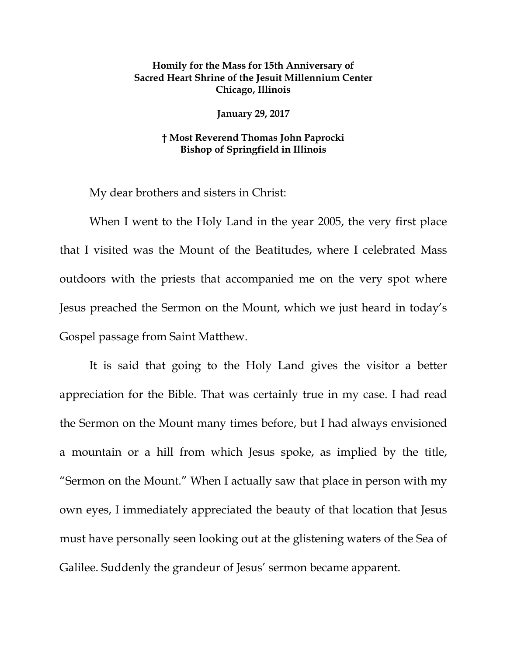## **Homily for the Mass for 15th Anniversary of Sacred Heart Shrine of the Jesuit Millennium Center Chicago, Illinois**

**January 29, 2017**

## **† Most Reverend Thomas John Paprocki Bishop of Springfield in Illinois**

My dear brothers and sisters in Christ:

When I went to the Holy Land in the year 2005, the very first place that I visited was the Mount of the Beatitudes, where I celebrated Mass outdoors with the priests that accompanied me on the very spot where Jesus preached the Sermon on the Mount, which we just heard in today's Gospel passage from Saint Matthew.

It is said that going to the Holy Land gives the visitor a better appreciation for the Bible. That was certainly true in my case. I had read the Sermon on the Mount many times before, but I had always envisioned a mountain or a hill from which Jesus spoke, as implied by the title, "Sermon on the Mount." When I actually saw that place in person with my own eyes, I immediately appreciated the beauty of that location that Jesus must have personally seen looking out at the glistening waters of the Sea of Galilee. Suddenly the grandeur of Jesus' sermon became apparent.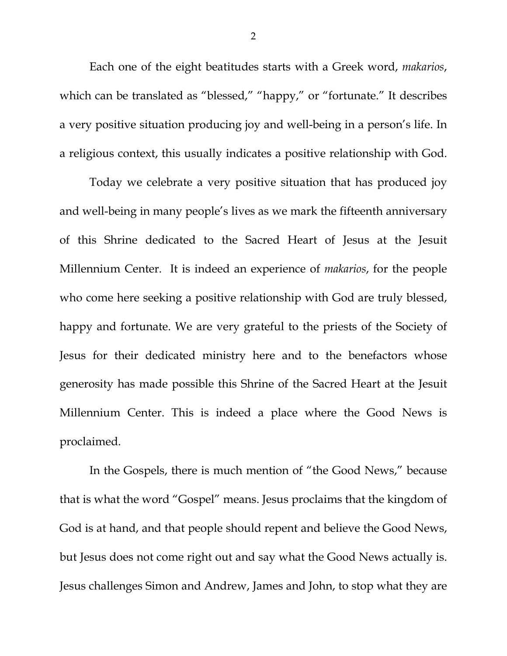Each one of the eight beatitudes starts with a Greek word, *makarios*, which can be translated as "blessed," "happy," or "fortunate." It describes a very positive situation producing joy and well-being in a person's life. In a religious context, this usually indicates a positive relationship with God.

Today we celebrate a very positive situation that has produced joy and well-being in many people's lives as we mark the fifteenth anniversary of this Shrine dedicated to the Sacred Heart of Jesus at the Jesuit Millennium Center. It is indeed an experience of *makarios*, for the people who come here seeking a positive relationship with God are truly blessed, happy and fortunate. We are very grateful to the priests of the Society of Jesus for their dedicated ministry here and to the benefactors whose generosity has made possible this Shrine of the Sacred Heart at the Jesuit Millennium Center. This is indeed a place where the Good News is proclaimed.

In the Gospels, there is much mention of "the Good News," because that is what the word "Gospel" means. Jesus proclaims that the kingdom of God is at hand, and that people should repent and believe the Good News, but Jesus does not come right out and say what the Good News actually is. Jesus challenges Simon and Andrew, James and John, to stop what they are

2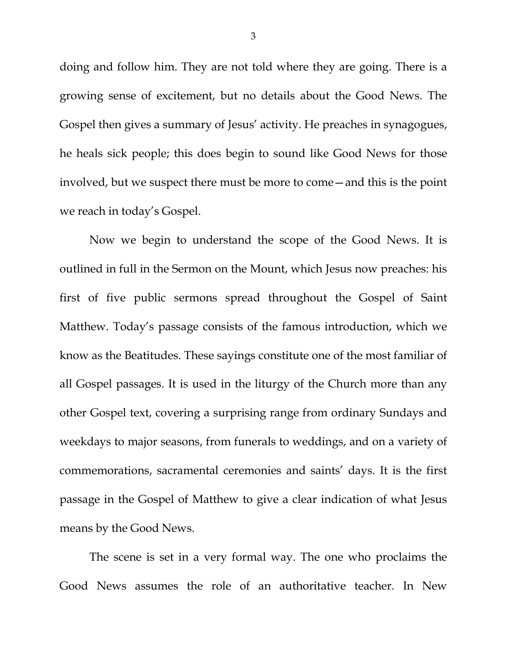doing and follow him. They are not told where they are going. There is a growing sense of excitement, but no details about the Good News. The Gospel then gives a summary of Jesus' activity. He preaches in synagogues, he heals sick people; this does begin to sound like Good News for those involved, but we suspect there must be more to come—and this is the point we reach in today's Gospel.

Now we begin to understand the scope of the Good News. It is outlined in full in the Sermon on the Mount, which Jesus now preaches: his first of five public sermons spread throughout the Gospel of Saint Matthew. Today's passage consists of the famous introduction, which we know as the Beatitudes. These sayings constitute one of the most familiar of all Gospel passages. It is used in the liturgy of the Church more than any other Gospel text, covering a surprising range from ordinary Sundays and weekdays to major seasons, from funerals to weddings, and on a variety of commemorations, sacramental ceremonies and saints' days. It is the first passage in the Gospel of Matthew to give a clear indication of what Jesus means by the Good News.

The scene is set in a very formal way. The one who proclaims the Good News assumes the role of an authoritative teacher. In New

3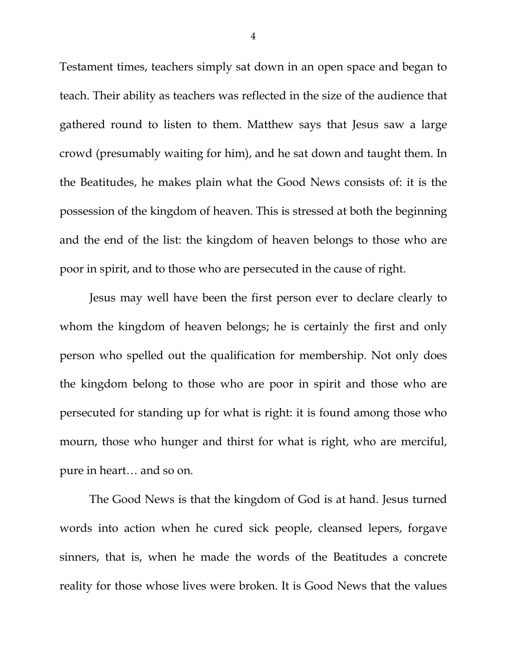Testament times, teachers simply sat down in an open space and began to teach. Their ability as teachers was reflected in the size of the audience that gathered round to listen to them. Matthew says that Jesus saw a large crowd (presumably waiting for him), and he sat down and taught them. In the Beatitudes, he makes plain what the Good News consists of: it is the possession of the kingdom of heaven. This is stressed at both the beginning and the end of the list: the kingdom of heaven belongs to those who are poor in spirit, and to those who are persecuted in the cause of right.

Jesus may well have been the first person ever to declare clearly to whom the kingdom of heaven belongs; he is certainly the first and only person who spelled out the qualification for membership. Not only does the kingdom belong to those who are poor in spirit and those who are persecuted for standing up for what is right: it is found among those who mourn, those who hunger and thirst for what is right, who are merciful, pure in heart… and so on.

The Good News is that the kingdom of God is at hand. Jesus turned words into action when he cured sick people, cleansed lepers, forgave sinners, that is, when he made the words of the Beatitudes a concrete reality for those whose lives were broken. It is Good News that the values

4